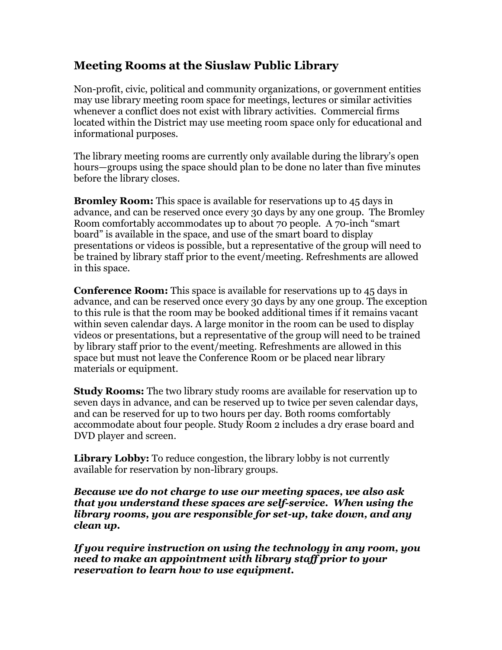## **Meeting Rooms at the Siuslaw Public Library**

Non-profit, civic, political and community organizations, or government entities may use library meeting room space for meetings, lectures or similar activities whenever a conflict does not exist with library activities. Commercial firms located within the District may use meeting room space only for educational and informational purposes.

The library meeting rooms are currently only available during the library's open hours—groups using the space should plan to be done no later than five minutes before the library closes.

**Bromley Room:** This space is available for reservations up to 45 days in advance, and can be reserved once every 30 days by any one group. The Bromley Room comfortably accommodates up to about 70 people. A 70-inch "smart board" is available in the space, and use of the smart board to display presentations or videos is possible, but a representative of the group will need to be trained by library staff prior to the event/meeting. Refreshments are allowed in this space.

**Conference Room:** This space is available for reservations up to 45 days in advance, and can be reserved once every 30 days by any one group. The exception to this rule is that the room may be booked additional times if it remains vacant within seven calendar days. A large monitor in the room can be used to display videos or presentations, but a representative of the group will need to be trained by library staff prior to the event/meeting. Refreshments are allowed in this space but must not leave the Conference Room or be placed near library materials or equipment.

**Study Rooms:** The two library study rooms are available for reservation up to seven days in advance, and can be reserved up to twice per seven calendar days, and can be reserved for up to two hours per day. Both rooms comfortably accommodate about four people. Study Room 2 includes a dry erase board and DVD player and screen.

Library Lobby: To reduce congestion, the library lobby is not currently available for reservation by non-library groups.

*Because we do not charge to use our meeting spaces, we also ask that you understand these spaces are self-service. When using the library rooms, you are responsible for set-up, take down, and any clean up.* 

*If you require instruction on using the technology in any room, you need to make an appointment with library staff prior to your reservation to learn how to use equipment.*